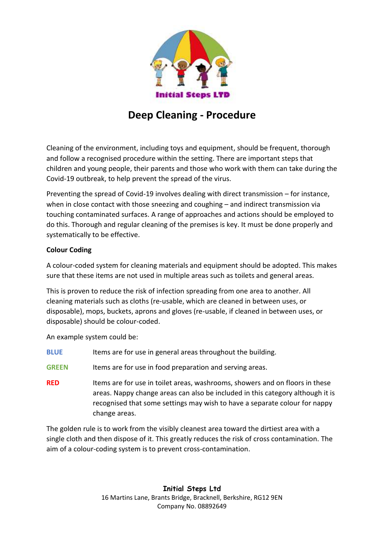

# **Deep Cleaning - Procedure**

Cleaning of the environment, including toys and equipment, should be frequent, thorough and follow a recognised procedure within the setting. There are important steps that children and young people, their parents and those who work with them can take during the Covid-19 outbreak, to help prevent the spread of the virus.

Preventing the spread of Covid-19 involves dealing with direct transmission – for instance, when in close contact with those sneezing and coughing – and indirect transmission via touching contaminated surfaces. A range of approaches and actions should be employed to do this. Thorough and regular cleaning of the premises is key. It must be done properly and systematically to be effective.

# **Colour Coding**

A colour-coded system for cleaning materials and equipment should be adopted. This makes sure that these items are not used in multiple areas such as toilets and general areas.

This is proven to reduce the risk of infection spreading from one area to another. All cleaning materials such as cloths (re-usable, which are cleaned in between uses, or disposable), mops, buckets, aprons and gloves (re-usable, if cleaned in between uses, or disposable) should be colour-coded.

An example system could be:

- **BLUE** Items are for use in general areas throughout the building.
- **GREEN** Items are for use in food preparation and serving areas.
- **RED** Items are for use in toilet areas, washrooms, showers and on floors in these areas. Nappy change areas can also be included in this category although it is recognised that some settings may wish to have a separate colour for nappy change areas.

The golden rule is to work from the visibly cleanest area toward the dirtiest area with a single cloth and then dispose of it. This greatly reduces the risk of cross contamination. The aim of a colour-coding system is to prevent cross-contamination.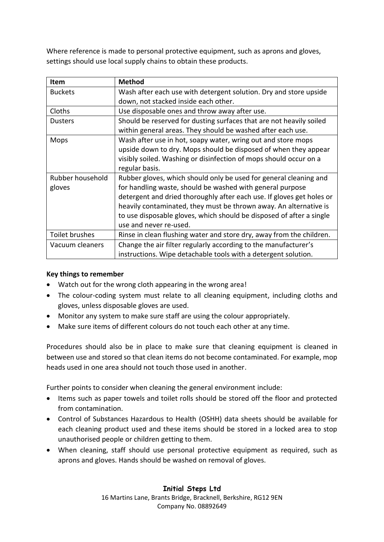Where reference is made to personal protective equipment, such as aprons and gloves, settings should use local supply chains to obtain these products.

| Item             | <b>Method</b>                                                         |
|------------------|-----------------------------------------------------------------------|
| <b>Buckets</b>   | Wash after each use with detergent solution. Dry and store upside     |
|                  | down, not stacked inside each other.                                  |
| Cloths           | Use disposable ones and throw away after use.                         |
| <b>Dusters</b>   | Should be reserved for dusting surfaces that are not heavily soiled   |
|                  | within general areas. They should be washed after each use.           |
| Mops             | Wash after use in hot, soapy water, wring out and store mops          |
|                  | upside down to dry. Mops should be disposed of when they appear       |
|                  | visibly soiled. Washing or disinfection of mops should occur on a     |
|                  | regular basis.                                                        |
| Rubber household | Rubber gloves, which should only be used for general cleaning and     |
| gloves           | for handling waste, should be washed with general purpose             |
|                  | detergent and dried thoroughly after each use. If gloves get holes or |
|                  | heavily contaminated, they must be thrown away. An alternative is     |
|                  | to use disposable gloves, which should be disposed of after a single  |
|                  | use and never re-used.                                                |
| Toilet brushes   | Rinse in clean flushing water and store dry, away from the children.  |
| Vacuum cleaners  | Change the air filter regularly according to the manufacturer's       |
|                  | instructions. Wipe detachable tools with a detergent solution.        |

# **Key things to remember**

- Watch out for the wrong cloth appearing in the wrong area!
- The colour-coding system must relate to all cleaning equipment, including cloths and gloves, unless disposable gloves are used.
- Monitor any system to make sure staff are using the colour appropriately.
- Make sure items of different colours do not touch each other at any time.

Procedures should also be in place to make sure that cleaning equipment is cleaned in between use and stored so that clean items do not become contaminated. For example, mop heads used in one area should not touch those used in another.

Further points to consider when cleaning the general environment include:

- Items such as paper towels and toilet rolls should be stored off the floor and protected from contamination.
- Control of Substances Hazardous to Health (OSHH) data sheets should be available for each cleaning product used and these items should be stored in a locked area to stop unauthorised people or children getting to them.
- When cleaning, staff should use personal protective equipment as required, such as aprons and gloves. Hands should be washed on removal of gloves.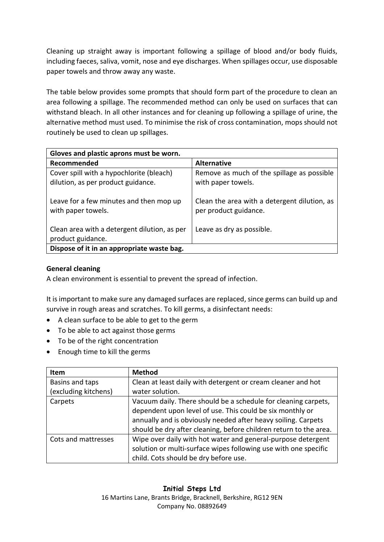Cleaning up straight away is important following a spillage of blood and/or body fluids, including faeces, saliva, vomit, nose and eye discharges. When spillages occur, use disposable paper towels and throw away any waste.

The table below provides some prompts that should form part of the procedure to clean an area following a spillage. The recommended method can only be used on surfaces that can withstand bleach. In all other instances and for cleaning up following a spillage of urine, the alternative method must used. To minimise the risk of cross contamination, mops should not routinely be used to clean up spillages.

| Gloves and plastic aprons must be worn.                       |                                                                       |  |
|---------------------------------------------------------------|-----------------------------------------------------------------------|--|
| Recommended                                                   | <b>Alternative</b>                                                    |  |
| Cover spill with a hypochlorite (bleach)                      | Remove as much of the spillage as possible                            |  |
| dilution, as per product guidance.                            | with paper towels.                                                    |  |
| Leave for a few minutes and then mop up<br>with paper towels. | Clean the area with a detergent dilution, as<br>per product guidance. |  |
| Clean area with a detergent dilution, as per                  | Leave as dry as possible.                                             |  |
| product guidance.                                             |                                                                       |  |
| Dispose of it in an appropriate waste bag.                    |                                                                       |  |

## **General cleaning**

A clean environment is essential to prevent the spread of infection.

It is important to make sure any damaged surfaces are replaced, since germs can build up and survive in rough areas and scratches. To kill germs, a disinfectant needs:

- A clean surface to be able to get to the germ
- To be able to act against those germs
- To be of the right concentration
- Enough time to kill the germs

| Item                 | <b>Method</b>                                                     |
|----------------------|-------------------------------------------------------------------|
| Basins and taps      | Clean at least daily with detergent or cream cleaner and hot      |
| (excluding kitchens) | water solution.                                                   |
| Carpets              | Vacuum daily. There should be a schedule for cleaning carpets,    |
|                      | dependent upon level of use. This could be six monthly or         |
|                      | annually and is obviously needed after heavy soiling. Carpets     |
|                      | should be dry after cleaning, before children return to the area. |
| Cots and mattresses  | Wipe over daily with hot water and general-purpose detergent      |
|                      | solution or multi-surface wipes following use with one specific   |
|                      | child. Cots should be dry before use.                             |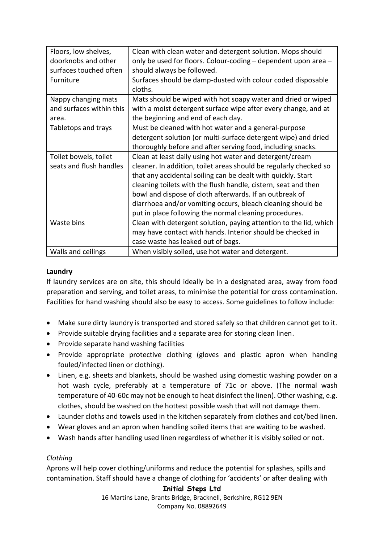| Floors, low shelves,     | Clean with clean water and detergent solution. Mops should        |
|--------------------------|-------------------------------------------------------------------|
| doorknobs and other      | only be used for floors. Colour-coding - dependent upon area -    |
| surfaces touched often   | should always be followed.                                        |
| Furniture                | Surfaces should be damp-dusted with colour coded disposable       |
|                          | cloths.                                                           |
| Nappy changing mats      | Mats should be wiped with hot soapy water and dried or wiped      |
| and surfaces within this | with a moist detergent surface wipe after every change, and at    |
| area.                    | the beginning and end of each day.                                |
| Tabletops and trays      | Must be cleaned with hot water and a general-purpose              |
|                          | detergent solution (or multi-surface detergent wipe) and dried    |
|                          | thoroughly before and after serving food, including snacks.       |
| Toilet bowels, toilet    | Clean at least daily using hot water and detergent/cream          |
| seats and flush handles  | cleaner. In addition, toilet areas should be regularly checked so |
|                          | that any accidental soiling can be dealt with quickly. Start      |
|                          | cleaning toilets with the flush handle, cistern, seat and then    |
|                          | bowl and dispose of cloth afterwards. If an outbreak of           |
|                          | diarrhoea and/or vomiting occurs, bleach cleaning should be       |
|                          | put in place following the normal cleaning procedures.            |
| Waste bins               | Clean with detergent solution, paying attention to the lid, which |
|                          | may have contact with hands. Interior should be checked in        |
|                          | case waste has leaked out of bags.                                |
| Walls and ceilings       | When visibly soiled, use hot water and detergent.                 |

## **Laundry**

If laundry services are on site, this should ideally be in a designated area, away from food preparation and serving, and toilet areas, to minimise the potential for cross contamination. Facilities for hand washing should also be easy to access. Some guidelines to follow include:

- Make sure dirty laundry is transported and stored safely so that children cannot get to it.
- Provide suitable drying facilities and a separate area for storing clean linen.
- Provide separate hand washing facilities
- Provide appropriate protective clothing (gloves and plastic apron when handing fouled/infected linen or clothing).
- Linen, e.g. sheets and blankets, should be washed using domestic washing powder on a hot wash cycle, preferably at a temperature of 71c or above. (The normal wash temperature of 40-60c may not be enough to heat disinfect the linen). Other washing, e.g. clothes, should be washed on the hottest possible wash that will not damage them.
- Launder cloths and towels used in the kitchen separately from clothes and cot/bed linen.
- Wear gloves and an apron when handling soiled items that are waiting to be washed.
- Wash hands after handling used linen regardless of whether it is visibly soiled or not.

# *Clothing*

Aprons will help cover clothing/uniforms and reduce the potential for splashes, spills and contamination. Staff should have a change of clothing for 'accidents' or after dealing with

# **Initial Steps Ltd**

16 Martins Lane, Brants Bridge, Bracknell, Berkshire, RG12 9EN Company No. 08892649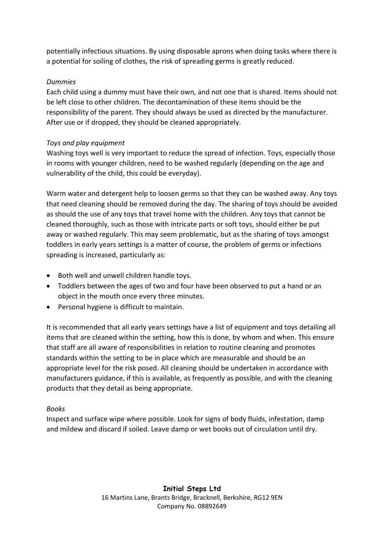potentially infectious situations. By using disposable aprons when doing tasks where there is a potential for soiling of clothes, the risk of spreading germs is greatly reduced.

## *Dummies*

Each child using a dummy must have their own, and not one that is shared. Items should not be left close to other children. The decontamination of these items should be the responsibility of the parent. They should always be used as directed by the manufacturer. After use or if dropped, they should be cleaned appropriately.

# *Toys and play equipment*

Washing toys well is very important to reduce the spread of infection. Toys, especially those in rooms with younger children, need to be washed regularly (depending on the age and vulnerability of the child, this could be everyday).

Warm water and detergent help to loosen germs so that they can be washed away. Any toys that need cleaning should be removed during the day. The sharing of toys should be avoided as should the use of any toys that travel home with the children. Any toys that cannot be cleaned thoroughly, such as those with intricate parts or soft toys, should either be put away or washed regularly. This may seem problematic, but as the sharing of toys amongst toddlers in early years settings is a matter of course, the problem of germs or infections spreading is increased, particularly as:

- Both well and unwell children handle toys.
- Toddlers between the ages of two and four have been observed to put a hand or an object in the mouth once every three minutes.
- Personal hygiene is difficult to maintain.

It is recommended that all early years settings have a list of equipment and toys detailing all items that are cleaned within the setting, how this is done, by whom and when. This ensure that staff are all aware of responsibilities in relation to routine cleaning and promotes standards within the setting to be in place which are measurable and should be an appropriate level for the risk posed. All cleaning should be undertaken in accordance with manufacturers guidance, if this is available, as frequently as possible, and with the cleaning products that they detail as being appropriate.

## *Books*

Inspect and surface wipe where possible. Look for signs of body fluids, infestation, damp and mildew and discard if soiled. Leave damp or wet books out of circulation until dry.